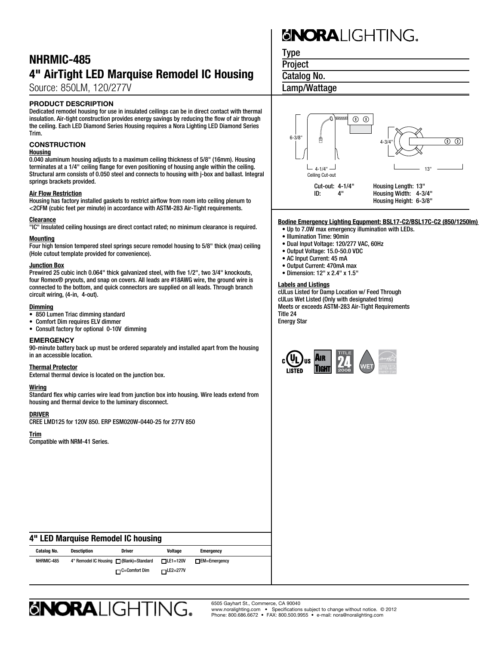### NHRMIC-485 4" AirTight LED Marquise Remodel IC Housing

Source: 850LM, 120/277V

#### PRODUCT DESCRIPTION

Dedicated remodel housing for use in insulated ceilings can be in direct contact with thermal insulation. Air-tight construction provides energy savings by reducing the flow of air through the ceiling. Each LED Diamond Series Housing requires a Nora Lighting LED Diamond Series Trim.

#### **CONSTRUCTION**

#### **Housing**

0.040 aluminum housing adjusts to a maximum ceiling thickness of 5/8" (16mm). Housing terminates at a 1/4" ceiling flange for even positioning of housing angle within the ceiling. Structural arm consists of 0.050 steel and connects to housing with j-box and ballast. Integral springs brackets provided.

#### Air Flow Restriction

Housing has factory installed gaskets to restrict airflow from room into ceiling plenum to <2CFM (cubic feet per minute) in accordance with ASTM-283 Air-Tight requirements.

#### Clearance

"IC" Insulated ceiling housings are direct contact rated; no minimum clearance is required.

#### Mounting

Four high tension tempered steel springs secure remodel housing to 5/8" thick (max) ceiling (Hole cutout template provided for convenience).

#### Junction Box

Prewired 25 cubic inch 0.064" thick galvanized steel, with five 1/2", two 3/4" knockouts, four Romex® pryouts, and snap on covers. All leads are #18AWG wire, the ground wire is connected to the bottom, and quick connectors are supplied on all leads. Through branch circuit wiring, (4-in, 4-out).

#### Dimming

- 850 Lumen Triac dimming standard
- • Comfort Dim requires ELV dimmer
- • Consult factory for optional 0-10V dimming

#### **EMERGENCY**

90-minute battery back up must be ordered separately and installed apart from the housing in an accessible location.

#### Thermal Protector

External thermal device is located on the junction box.

#### Wiring

Standard flex whip carries wire lead from junction box into housing. Wire leads extend from housing and thermal device to the luminary disconnect.

#### DRIVER

CREE LMD125 for 120V 850. ERP ESM020W-0440-25 for 277V 850

#### Trim

Compatible with NRM-41 Series.

# **SNORALIGHTING.**

Type

**Project** 

Catalog No.

Lamp/Wattage



#### **Bodine Emergency Lighting Equpment: BSL17-C2/BSL17C-C2 (850/1250lm)**

- Up to 7.0W max emergency illumination with LEDs.
- Illumination Time: 90min
- Dual Input Voltage: 120/277 VAC, 60Hz
- Output Voltage: 15.0-50.0 VDC
- AC Input Current: 45 mA
- Output Current: 470mA max
- Dimension: 12" x 2.4" x 1.5"

#### Labels and Listings

cULus Listed for Damp Location w/ Feed Through cULus Wet Listed (Only with designated trims) Meets or exceeds ASTM-283 Air-Tight Requirements Title 24 Energy Star



#### 4" LED Marquise Remodel IC housing

| Catalog No. | Desctiption                              | <b>Driver</b>        | Voltage          | <b>Emergency</b>    |
|-------------|------------------------------------------|----------------------|------------------|---------------------|
| NHRMIC-485  | 4" Remodel IC Housing   (Blank)=Standard |                      | $TLE1=120V$      | $\Box$ EM=Emergency |
|             |                                          | $\Box$ C=Comfort Dim | $r = LE2 = 277V$ |                     |